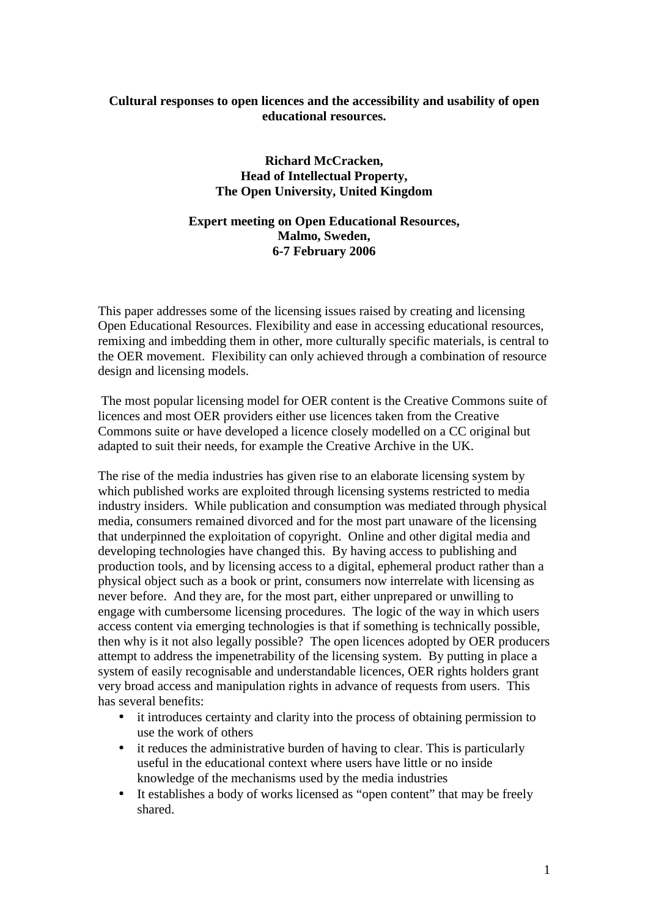# **Cultural responses to open licences and the accessibility and usability of open educational resources.**

**Richard McCracken, Head of Intellectual Property, The Open University, United Kingdom** 

# **Expert meeting on Open Educational Resources, Malmo, Sweden, 6-7 February 2006**

This paper addresses some of the licensing issues raised by creating and licensing Open Educational Resources. Flexibility and ease in accessing educational resources, remixing and imbedding them in other, more culturally specific materials, is central to the OER movement. Flexibility can only achieved through a combination of resource design and licensing models.

 The most popular licensing model for OER content is the Creative Commons suite of licences and most OER providers either use licences taken from the Creative Commons suite or have developed a licence closely modelled on a CC original but adapted to suit their needs, for example the Creative Archive in the UK.

The rise of the media industries has given rise to an elaborate licensing system by which published works are exploited through licensing systems restricted to media industry insiders. While publication and consumption was mediated through physical media, consumers remained divorced and for the most part unaware of the licensing that underpinned the exploitation of copyright. Online and other digital media and developing technologies have changed this. By having access to publishing and production tools, and by licensing access to a digital, ephemeral product rather than a physical object such as a book or print, consumers now interrelate with licensing as never before. And they are, for the most part, either unprepared or unwilling to engage with cumbersome licensing procedures. The logic of the way in which users access content via emerging technologies is that if something is technically possible, then why is it not also legally possible? The open licences adopted by OER producers attempt to address the impenetrability of the licensing system. By putting in place a system of easily recognisable and understandable licences, OER rights holders grant very broad access and manipulation rights in advance of requests from users. This has several benefits:

- it introduces certainty and clarity into the process of obtaining permission to use the work of others
- it reduces the administrative burden of having to clear. This is particularly useful in the educational context where users have little or no inside knowledge of the mechanisms used by the media industries
- It establishes a body of works licensed as "open content" that may be freely shared.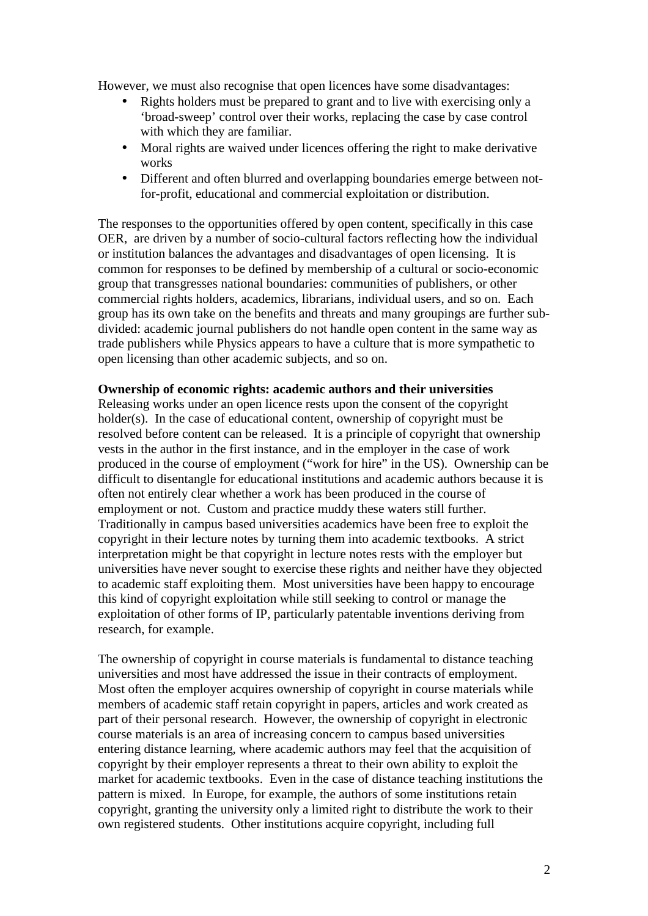However, we must also recognise that open licences have some disadvantages:

- Rights holders must be prepared to grant and to live with exercising only a 'broad-sweep' control over their works, replacing the case by case control with which they are familiar.
- Moral rights are waived under licences offering the right to make derivative works
- Different and often blurred and overlapping boundaries emerge between notfor-profit, educational and commercial exploitation or distribution.

The responses to the opportunities offered by open content, specifically in this case OER, are driven by a number of socio-cultural factors reflecting how the individual or institution balances the advantages and disadvantages of open licensing. It is common for responses to be defined by membership of a cultural or socio-economic group that transgresses national boundaries: communities of publishers, or other commercial rights holders, academics, librarians, individual users, and so on. Each group has its own take on the benefits and threats and many groupings are further subdivided: academic journal publishers do not handle open content in the same way as trade publishers while Physics appears to have a culture that is more sympathetic to open licensing than other academic subjects, and so on.

#### **Ownership of economic rights: academic authors and their universities**

Releasing works under an open licence rests upon the consent of the copyright holder(s). In the case of educational content, ownership of copyright must be resolved before content can be released. It is a principle of copyright that ownership vests in the author in the first instance, and in the employer in the case of work produced in the course of employment ("work for hire" in the US). Ownership can be difficult to disentangle for educational institutions and academic authors because it is often not entirely clear whether a work has been produced in the course of employment or not. Custom and practice muddy these waters still further. Traditionally in campus based universities academics have been free to exploit the copyright in their lecture notes by turning them into academic textbooks. A strict interpretation might be that copyright in lecture notes rests with the employer but universities have never sought to exercise these rights and neither have they objected to academic staff exploiting them. Most universities have been happy to encourage this kind of copyright exploitation while still seeking to control or manage the exploitation of other forms of IP, particularly patentable inventions deriving from research, for example.

The ownership of copyright in course materials is fundamental to distance teaching universities and most have addressed the issue in their contracts of employment. Most often the employer acquires ownership of copyright in course materials while members of academic staff retain copyright in papers, articles and work created as part of their personal research. However, the ownership of copyright in electronic course materials is an area of increasing concern to campus based universities entering distance learning, where academic authors may feel that the acquisition of copyright by their employer represents a threat to their own ability to exploit the market for academic textbooks. Even in the case of distance teaching institutions the pattern is mixed. In Europe, for example, the authors of some institutions retain copyright, granting the university only a limited right to distribute the work to their own registered students. Other institutions acquire copyright, including full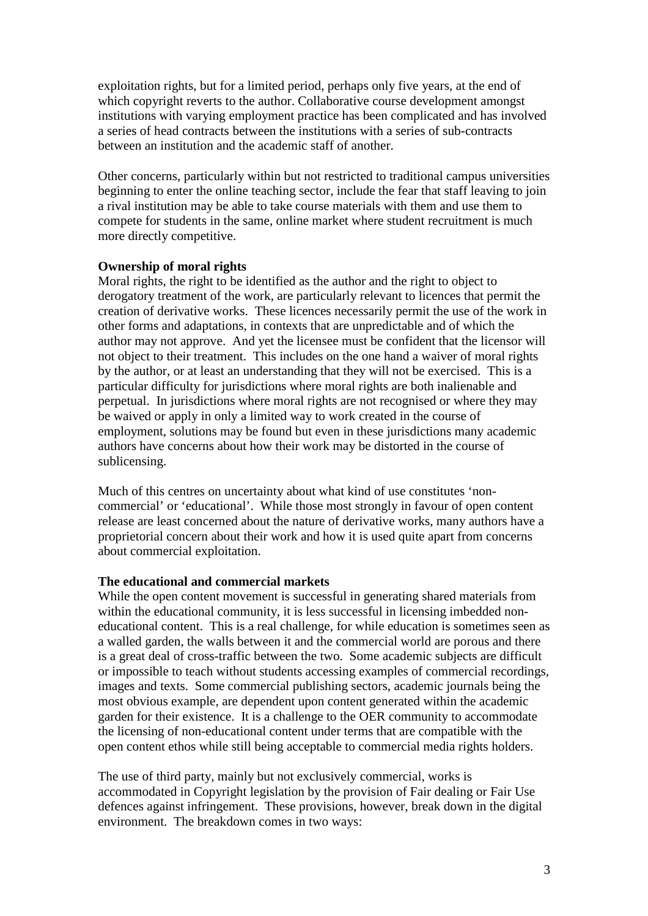exploitation rights, but for a limited period, perhaps only five years, at the end of which copyright reverts to the author. Collaborative course development amongst institutions with varying employment practice has been complicated and has involved a series of head contracts between the institutions with a series of sub-contracts between an institution and the academic staff of another.

Other concerns, particularly within but not restricted to traditional campus universities beginning to enter the online teaching sector, include the fear that staff leaving to join a rival institution may be able to take course materials with them and use them to compete for students in the same, online market where student recruitment is much more directly competitive.

## **Ownership of moral rights**

Moral rights, the right to be identified as the author and the right to object to derogatory treatment of the work, are particularly relevant to licences that permit the creation of derivative works. These licences necessarily permit the use of the work in other forms and adaptations, in contexts that are unpredictable and of which the author may not approve. And yet the licensee must be confident that the licensor will not object to their treatment. This includes on the one hand a waiver of moral rights by the author, or at least an understanding that they will not be exercised. This is a particular difficulty for jurisdictions where moral rights are both inalienable and perpetual. In jurisdictions where moral rights are not recognised or where they may be waived or apply in only a limited way to work created in the course of employment, solutions may be found but even in these jurisdictions many academic authors have concerns about how their work may be distorted in the course of sublicensing.

Much of this centres on uncertainty about what kind of use constitutes 'noncommercial' or 'educational'. While those most strongly in favour of open content release are least concerned about the nature of derivative works, many authors have a proprietorial concern about their work and how it is used quite apart from concerns about commercial exploitation.

# **The educational and commercial markets**

While the open content movement is successful in generating shared materials from within the educational community, it is less successful in licensing imbedded noneducational content. This is a real challenge, for while education is sometimes seen as a walled garden, the walls between it and the commercial world are porous and there is a great deal of cross-traffic between the two. Some academic subjects are difficult or impossible to teach without students accessing examples of commercial recordings, images and texts. Some commercial publishing sectors, academic journals being the most obvious example, are dependent upon content generated within the academic garden for their existence. It is a challenge to the OER community to accommodate the licensing of non-educational content under terms that are compatible with the open content ethos while still being acceptable to commercial media rights holders.

The use of third party, mainly but not exclusively commercial, works is accommodated in Copyright legislation by the provision of Fair dealing or Fair Use defences against infringement. These provisions, however, break down in the digital environment. The breakdown comes in two ways: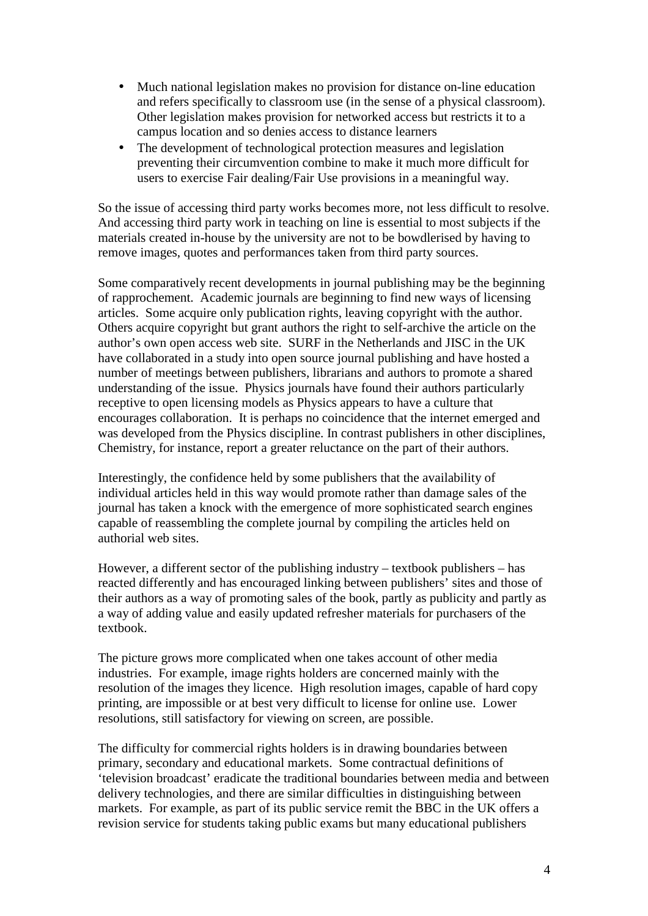- Much national legislation makes no provision for distance on-line education and refers specifically to classroom use (in the sense of a physical classroom). Other legislation makes provision for networked access but restricts it to a campus location and so denies access to distance learners
- The development of technological protection measures and legislation preventing their circumvention combine to make it much more difficult for users to exercise Fair dealing/Fair Use provisions in a meaningful way.

So the issue of accessing third party works becomes more, not less difficult to resolve. And accessing third party work in teaching on line is essential to most subjects if the materials created in-house by the university are not to be bowdlerised by having to remove images, quotes and performances taken from third party sources.

Some comparatively recent developments in journal publishing may be the beginning of rapprochement. Academic journals are beginning to find new ways of licensing articles. Some acquire only publication rights, leaving copyright with the author. Others acquire copyright but grant authors the right to self-archive the article on the author's own open access web site. SURF in the Netherlands and JISC in the UK have collaborated in a study into open source journal publishing and have hosted a number of meetings between publishers, librarians and authors to promote a shared understanding of the issue. Physics journals have found their authors particularly receptive to open licensing models as Physics appears to have a culture that encourages collaboration. It is perhaps no coincidence that the internet emerged and was developed from the Physics discipline. In contrast publishers in other disciplines, Chemistry, for instance, report a greater reluctance on the part of their authors.

Interestingly, the confidence held by some publishers that the availability of individual articles held in this way would promote rather than damage sales of the journal has taken a knock with the emergence of more sophisticated search engines capable of reassembling the complete journal by compiling the articles held on authorial web sites.

However, a different sector of the publishing industry – textbook publishers – has reacted differently and has encouraged linking between publishers' sites and those of their authors as a way of promoting sales of the book, partly as publicity and partly as a way of adding value and easily updated refresher materials for purchasers of the textbook.

The picture grows more complicated when one takes account of other media industries. For example, image rights holders are concerned mainly with the resolution of the images they licence. High resolution images, capable of hard copy printing, are impossible or at best very difficult to license for online use. Lower resolutions, still satisfactory for viewing on screen, are possible.

The difficulty for commercial rights holders is in drawing boundaries between primary, secondary and educational markets. Some contractual definitions of 'television broadcast' eradicate the traditional boundaries between media and between delivery technologies, and there are similar difficulties in distinguishing between markets. For example, as part of its public service remit the BBC in the UK offers a revision service for students taking public exams but many educational publishers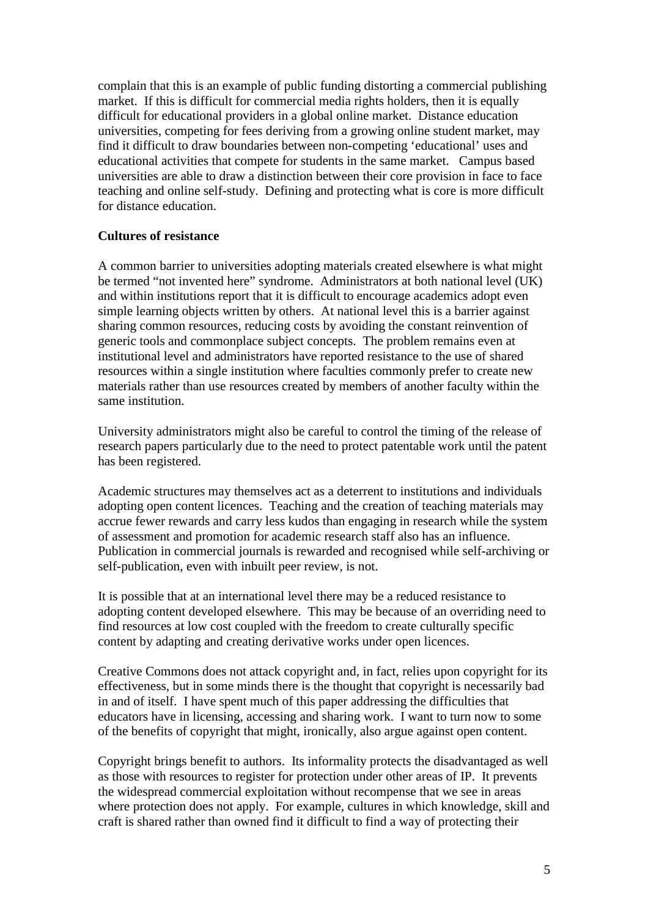complain that this is an example of public funding distorting a commercial publishing market. If this is difficult for commercial media rights holders, then it is equally difficult for educational providers in a global online market. Distance education universities, competing for fees deriving from a growing online student market, may find it difficult to draw boundaries between non-competing 'educational' uses and educational activities that compete for students in the same market. Campus based universities are able to draw a distinction between their core provision in face to face teaching and online self-study. Defining and protecting what is core is more difficult for distance education.

### **Cultures of resistance**

A common barrier to universities adopting materials created elsewhere is what might be termed "not invented here" syndrome. Administrators at both national level (UK) and within institutions report that it is difficult to encourage academics adopt even simple learning objects written by others. At national level this is a barrier against sharing common resources, reducing costs by avoiding the constant reinvention of generic tools and commonplace subject concepts. The problem remains even at institutional level and administrators have reported resistance to the use of shared resources within a single institution where faculties commonly prefer to create new materials rather than use resources created by members of another faculty within the same institution.

University administrators might also be careful to control the timing of the release of research papers particularly due to the need to protect patentable work until the patent has been registered.

Academic structures may themselves act as a deterrent to institutions and individuals adopting open content licences. Teaching and the creation of teaching materials may accrue fewer rewards and carry less kudos than engaging in research while the system of assessment and promotion for academic research staff also has an influence. Publication in commercial journals is rewarded and recognised while self-archiving or self-publication, even with inbuilt peer review, is not.

It is possible that at an international level there may be a reduced resistance to adopting content developed elsewhere. This may be because of an overriding need to find resources at low cost coupled with the freedom to create culturally specific content by adapting and creating derivative works under open licences.

Creative Commons does not attack copyright and, in fact, relies upon copyright for its effectiveness, but in some minds there is the thought that copyright is necessarily bad in and of itself. I have spent much of this paper addressing the difficulties that educators have in licensing, accessing and sharing work. I want to turn now to some of the benefits of copyright that might, ironically, also argue against open content.

Copyright brings benefit to authors. Its informality protects the disadvantaged as well as those with resources to register for protection under other areas of IP. It prevents the widespread commercial exploitation without recompense that we see in areas where protection does not apply. For example, cultures in which knowledge, skill and craft is shared rather than owned find it difficult to find a way of protecting their